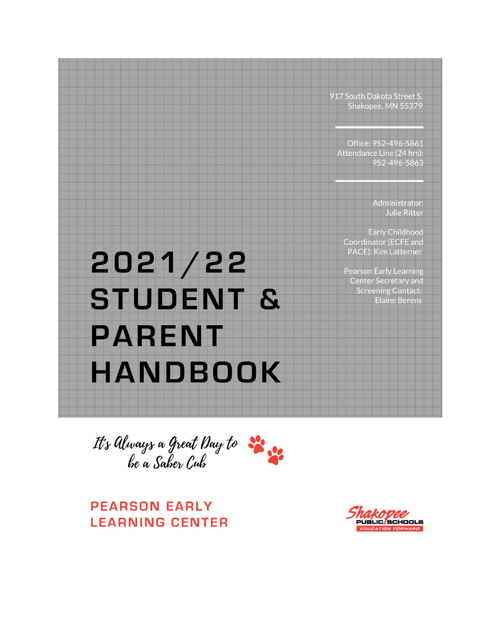917 South Dakota Street S. Shakopee, MN 55379

Office: 952-496-5861 Attendance Line (24 hrs): 952-496-5863

> Administrator: **Julie Ritter**

**Early Childhood** Coordinator (ECFE and PACE): Kim Latterner

**Pearson Early Learning Center Secretary and Screening Contact: Elaine Berens** 

# 2021/22 **STUDENT & PARENT HANDBOOK**

It's Always a Great Day to  $\frac{1}{2}$ 

**PEARSON EARLY LEARNING CENTER** 

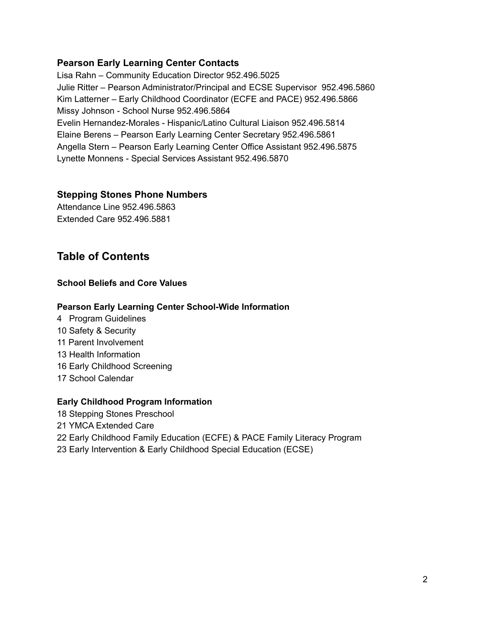### **Pearson Early Learning Center Contacts**

Lisa Rahn – Community Education Director 952.496.5025 Julie Ritter – Pearson Administrator/Principal and ECSE Supervisor 952.496.5860 Kim Latterner – Early Childhood Coordinator (ECFE and PACE) 952.496.5866 Missy Johnson - School Nurse 952.496.5864 Evelin Hernandez-Morales - Hispanic/Latino Cultural Liaison 952.496.5814 Elaine Berens – Pearson Early Learning Center Secretary 952.496.5861 Angella Stern – Pearson Early Learning Center Office Assistant 952.496.5875 Lynette Monnens - Special Services Assistant 952.496.5870

#### **Stepping Stones Phone Numbers**

Attendance Line 952.496.5863 Extended Care 952.496.5881

# **Table of Contents**

#### **School Beliefs and Core Values**

#### **Pearson Early Learning Center School-Wide Information**

 Program Guidelines Safety & Security Parent Involvement Health Information Early Childhood Screening School Calendar

#### **Early Childhood Program Information**

 Stepping Stones Preschool YMCA Extended Care Early Childhood Family Education (ECFE) & PACE Family Literacy Program Early Intervention & Early Childhood Special Education (ECSE)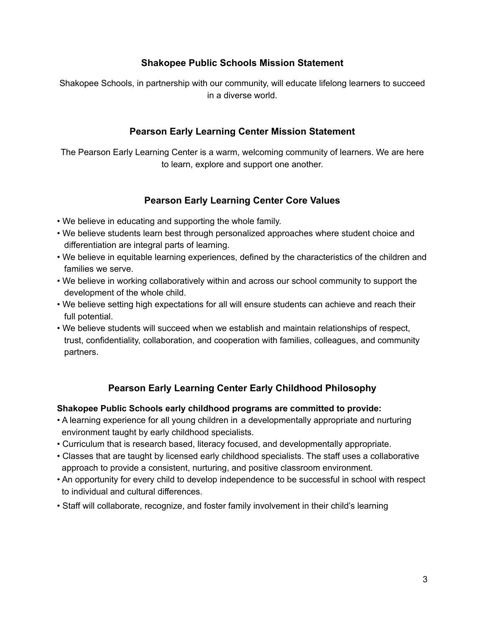# **Shakopee Public Schools Mission Statement**

Shakopee Schools, in partnership with our community, will educate lifelong learners to succeed in a diverse world.

# **Pearson Early Learning Center Mission Statement**

The Pearson Early Learning Center is a warm, welcoming community of learners. We are here to learn, explore and support one another.

# **Pearson Early Learning Center Core Values**

- We believe in educating and supporting the whole family.
- We believe students learn best through personalized approaches where student choice and differentiation are integral parts of learning.
- We believe in equitable learning experiences, defined by the characteristics of the children and families we serve.
- We believe in working collaboratively within and across our school community to support the development of the whole child.
- We believe setting high expectations for all will ensure students can achieve and reach their full potential.
- We believe students will succeed when we establish and maintain relationships of respect, trust, confidentiality, collaboration, and cooperation with families, colleagues, and community partners.

# **Pearson Early Learning Center Early Childhood Philosophy**

### **Shakopee Public Schools early childhood programs are committed to provide:**

- A learning experience for all young children in a developmentally appropriate and nurturing environment taught by early childhood specialists.
- Curriculum that is research based, literacy focused, and developmentally appropriate.
- Classes that are taught by licensed early childhood specialists. The staff uses a collaborative approach to provide a consistent, nurturing, and positive classroom environment.
- An opportunity for every child to develop independence to be successful in school with respect to individual and cultural differences.
- Staff will collaborate, recognize, and foster family involvement in their child's learning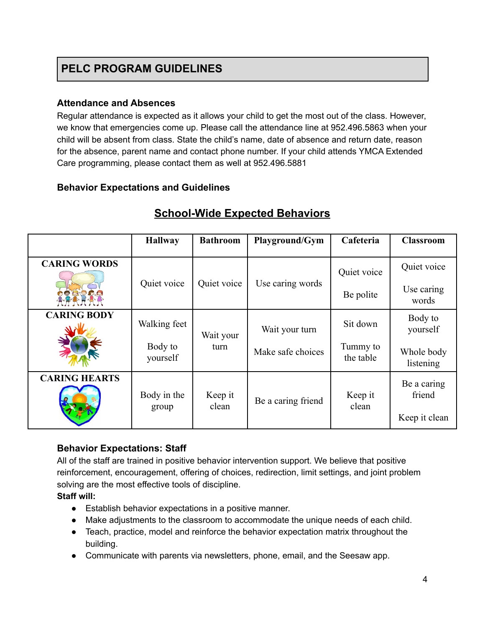### **Attendance and Absences**

Regular attendance is expected as it allows your child to get the most out of the class. However, we know that emergencies come up. Please call the attendance line at 952.496.5863 when your child will be absent from class. State the child's name, date of absence and return date, reason for the absence, parent name and contact phone number. If your child attends YMCA Extended Care programming, please contact them as well at 952.496.5881

### **Behavior Expectations and Guidelines**

|                      | <b>Hallway</b>       | <b>Bathroom</b>  | Playground/Gym     | Cafeteria             | <b>Classroom</b>                       |
|----------------------|----------------------|------------------|--------------------|-----------------------|----------------------------------------|
| <b>CARING WORDS</b>  |                      |                  |                    | Quiet voice           | Quiet voice                            |
| QQQQA                | Quiet voice          | Quiet voice      | Use caring words   | Be polite             | Use caring<br>words                    |
| <b>CARING BODY</b>   | Walking feet         | Wait your        | Wait your turn     | Sit down              | Body to<br>yourself                    |
|                      | Body to<br>yourself  | turn             | Make safe choices  | Tummy to<br>the table | Whole body<br>listening                |
| <b>CARING HEARTS</b> | Body in the<br>group | Keep it<br>clean | Be a caring friend | Keep it<br>clean      | Be a caring<br>friend<br>Keep it clean |

# **School-Wide Expected Behaviors**

# **Behavior Expectations: Staff**

All of the staff are trained in positive behavior intervention support. We believe that positive reinforcement, encouragement, offering of choices, redirection, limit settings, and joint problem solving are the most effective tools of discipline.

### **Staff will:**

- Establish behavior expectations in a positive manner.
- Make adjustments to the classroom to accommodate the unique needs of each child.
- Teach, practice, model and reinforce the behavior expectation matrix throughout the building.
- Communicate with parents via newsletters, phone, email, and the Seesaw app.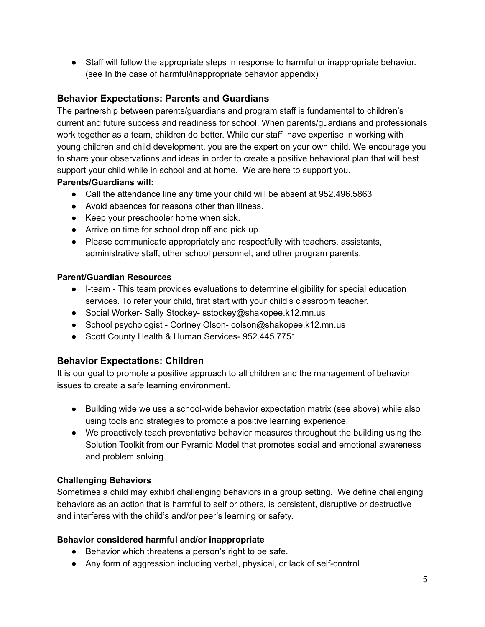● Staff will follow the appropriate steps in response to harmful or inappropriate behavior. (see In the case of harmful/inappropriate behavior appendix)

# **Behavior Expectations: Parents and Guardians**

The partnership between parents/guardians and program staff is fundamental to children's current and future success and readiness for school. When parents/guardians and professionals work together as a team, children do better. While our staff have expertise in working with young children and child development, you are the expert on your own child. We encourage you to share your observations and ideas in order to create a positive behavioral plan that will best support your child while in school and at home. We are here to support you.

### **Parents/Guardians will:**

- Call the attendance line any time your child will be absent at 952.496.5863
- Avoid absences for reasons other than illness.
- Keep your preschooler home when sick.
- Arrive on time for school drop off and pick up.
- Please communicate appropriately and respectfully with teachers, assistants, administrative staff, other school personnel, and other program parents.

### **Parent/Guardian Resources**

- I-team This team provides evaluations to determine eligibility for special education services. To refer your child, first start with your child's classroom teacher.
- Social Worker- Sally Stockey- sstockey@shakopee.k12.mn.us
- School psychologist Cortney Olson- colson@shakopee.k12.mn.us
- Scott County Health & Human Services- 952.445.7751

# **Behavior Expectations: Children**

It is our goal to promote a positive approach to all children and the management of behavior issues to create a safe learning environment.

- Building wide we use a school-wide behavior expectation matrix (see above) while also using tools and strategies to promote a positive learning experience.
- We proactively teach preventative behavior measures throughout the building using the Solution Toolkit from our Pyramid Model that promotes social and emotional awareness and problem solving.

### **Challenging Behaviors**

Sometimes a child may exhibit challenging behaviors in a group setting. We define challenging behaviors as an action that is harmful to self or others, is persistent, disruptive or destructive and interferes with the child's and/or peer's learning or safety.

### **Behavior considered harmful and/or inappropriate**

- Behavior which threatens a person's right to be safe.
- Any form of aggression including verbal, physical, or lack of self-control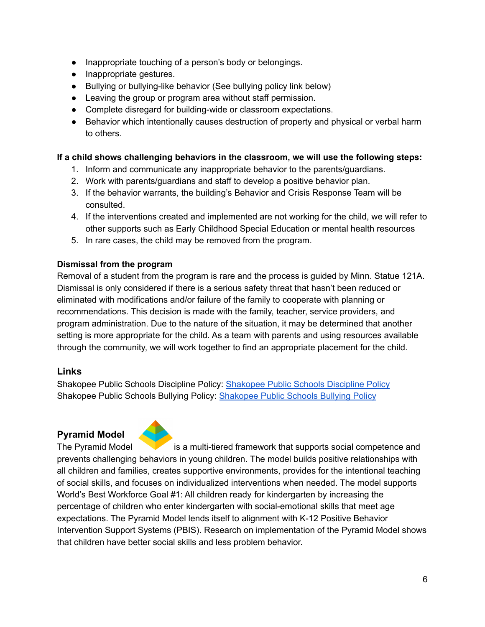- Inappropriate touching of a person's body or belongings.
- Inappropriate gestures.
- Bullying or bullying-like behavior (See bullying policy link below)
- Leaving the group or program area without staff permission.
- Complete disregard for building-wide or classroom expectations.
- Behavior which intentionally causes destruction of property and physical or verbal harm to others.

### **If a child shows challenging behaviors in the classroom, we will use the following steps:**

- 1. Inform and communicate any inappropriate behavior to the parents/guardians.
- 2. Work with parents/guardians and staff to develop a positive behavior plan.
- 3. If the behavior warrants, the building's Behavior and Crisis Response Team will be consulted.
- 4. If the interventions created and implemented are not working for the child, we will refer to other supports such as Early Childhood Special Education or mental health resources
- 5. In rare cases, the child may be removed from the program.

### **Dismissal from the program**

Removal of a student from the program is rare and the process is guided by Minn. Statue 121A. Dismissal is only considered if there is a serious safety threat that hasn't been reduced or eliminated with modifications and/or failure of the family to cooperate with planning or recommendations. This decision is made with the family, teacher, service providers, and program administration. Due to the nature of the situation, it may be determined that another setting is more appropriate for the child. As a team with parents and using resources available through the community, we will work together to find an appropriate placement for the child.

# **Links**

Shakopee Public Schools Discipline Policy: [Shakopee](https://www.shakopee.k12.mn.us/site/handlers/filedownload.ashx?moduleinstanceid=5166&dataid=4911&FileName=506%20Student%20Discipline.pdf) Public Schools Discipline Policy Shakopee Public Schools Bullying Policy: [Shakopee](https://www.shakopee.k12.mn.us/cms/lib/MN01909221/Centricity/Domain/1741/Bullying%20Policy.pdf) Public Schools Bullying Policy

# **Pyramid Model**



The Pyramid Model is a multi-tiered framework that supports social competence and prevents challenging behaviors in young children. The model builds positive relationships with all children and families, creates supportive environments, provides for the intentional teaching of social skills, and focuses on individualized interventions when needed. The model supports World's Best Workforce Goal #1: All children ready for kindergarten by increasing the percentage of children who enter kindergarten with social-emotional skills that meet age expectations. The Pyramid Model lends itself to alignment with K-12 Positive Behavior Intervention Support Systems (PBIS). Research on implementation of the Pyramid Model shows that children have better social skills and less problem behavior.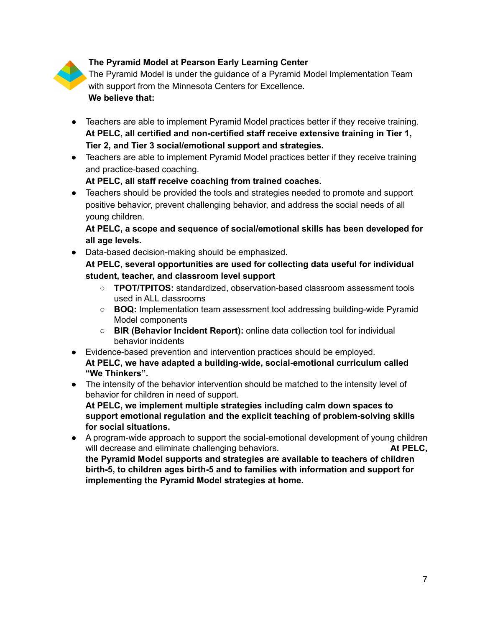# **The Pyramid Model at Pearson Early Learning Center**

The Pyramid Model is under the guidance of a Pyramid Model Implementation Team with support from the Minnesota Centers for Excellence. **We believe that:**

- Teachers are able to implement Pyramid Model practices better if they receive training. **At PELC, all certified and non-certified staff receive extensive training in Tier 1, Tier 2, and Tier 3 social/emotional support and strategies.**
- Teachers are able to implement Pyramid Model practices better if they receive training and practice-based coaching.

**At PELC, all staff receive coaching from trained coaches.**

● Teachers should be provided the tools and strategies needed to promote and support positive behavior, prevent challenging behavior, and address the social needs of all young children.

**At PELC, a scope and sequence of social/emotional skills has been developed for all age levels.**

● Data-based decision-making should be emphasized.

**At PELC, several opportunities are used for collecting data useful for individual student, teacher, and classroom level support**

- **TPOT/TPITOS:** standardized, observation-based classroom assessment tools used in ALL classrooms
- **BOQ:** Implementation team assessment tool addressing building-wide Pyramid Model components
- **BIR (Behavior Incident Report):** online data collection tool for individual behavior incidents
- Evidence-based prevention and intervention practices should be employed. **At PELC, we have adapted a building-wide, social-emotional curriculum called "We Thinkers".**
- The intensity of the behavior intervention should be matched to the intensity level of behavior for children in need of support. **At PELC, we implement multiple strategies including calm down spaces to support emotional regulation and the explicit teaching of problem-solving skills for social situations.**
- A program-wide approach to support the social-emotional development of young children will decrease and eliminate challenging behaviors. **At PELC, the Pyramid Model supports and strategies are available to teachers of children birth-5, to children ages birth-5 and to families with information and support for implementing the Pyramid Model strategies at home.**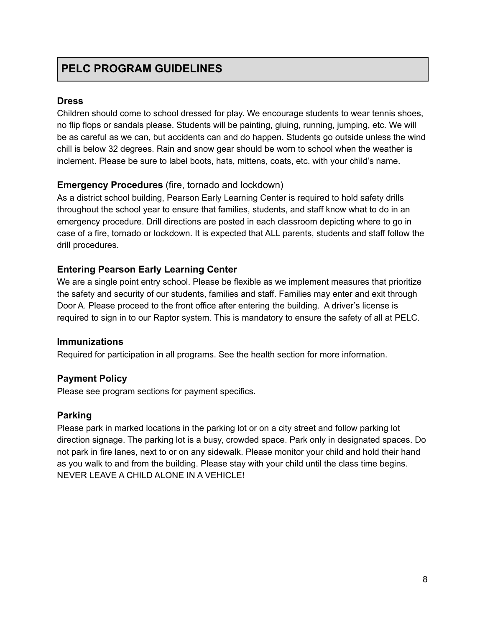### **Dress**

Children should come to school dressed for play. We encourage students to wear tennis shoes, no flip flops or sandals please. Students will be painting, gluing, running, jumping, etc. We will be as careful as we can, but accidents can and do happen. Students go outside unless the wind chill is below 32 degrees. Rain and snow gear should be worn to school when the weather is inclement. Please be sure to label boots, hats, mittens, coats, etc. with your child's name.

# **Emergency Procedures** (fire, tornado and lockdown)

As a district school building, Pearson Early Learning Center is required to hold safety drills throughout the school year to ensure that families, students, and staff know what to do in an emergency procedure. Drill directions are posted in each classroom depicting where to go in case of a fire, tornado or lockdown. It is expected that ALL parents, students and staff follow the drill procedures.

### **Entering Pearson Early Learning Center**

We are a single point entry school. Please be flexible as we implement measures that prioritize the safety and security of our students, families and staff. Families may enter and exit through Door A. Please proceed to the front office after entering the building. A driver's license is required to sign in to our Raptor system. This is mandatory to ensure the safety of all at PELC.

### **Immunizations**

Required for participation in all programs. See the health section for more information.

# **Payment Policy**

Please see program sections for payment specifics.

# **Parking**

Please park in marked locations in the parking lot or on a city street and follow parking lot direction signage. The parking lot is a busy, crowded space. Park only in designated spaces. Do not park in fire lanes, next to or on any sidewalk. Please monitor your child and hold their hand as you walk to and from the building. Please stay with your child until the class time begins. NEVER LEAVE A CHILD ALONE IN A VEHICLE!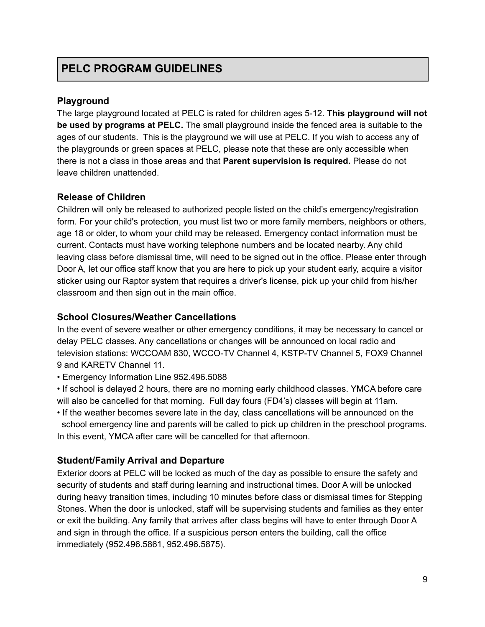### **Playground**

The large playground located at PELC is rated for children ages 5-12. **This playground will not be used by programs at PELC.** The small playground inside the fenced area is suitable to the ages of our students. This is the playground we will use at PELC. If you wish to access any of the playgrounds or green spaces at PELC, please note that these are only accessible when there is not a class in those areas and that **Parent supervision is required.** Please do not leave children unattended.

### **Release of Children**

Children will only be released to authorized people listed on the child's emergency/registration form. For your child's protection, you must list two or more family members, neighbors or others, age 18 or older, to whom your child may be released. Emergency contact information must be current. Contacts must have working telephone numbers and be located nearby. Any child leaving class before dismissal time, will need to be signed out in the office. Please enter through Door A, let our office staff know that you are here to pick up your student early, acquire a visitor sticker using our Raptor system that requires a driver's license, pick up your child from his/her classroom and then sign out in the main office.

### **School Closures/Weather Cancellations**

In the event of severe weather or other emergency conditions, it may be necessary to cancel or delay PELC classes. Any cancellations or changes will be announced on local radio and television stations: WCCOAM 830, WCCO-TV Channel 4, KSTP-TV Channel 5, FOX9 Channel 9 and KARETV Channel 11.

• Emergency Information Line 952.496.5088

• If school is delayed 2 hours, there are no morning early childhood classes. YMCA before care will also be cancelled for that morning. Full day fours (FD4's) classes will begin at 11am.

• If the weather becomes severe late in the day, class cancellations will be announced on the school emergency line and parents will be called to pick up children in the preschool programs. In this event, YMCA after care will be cancelled for that afternoon.

# **Student/Family Arrival and Departure**

Exterior doors at PELC will be locked as much of the day as possible to ensure the safety and security of students and staff during learning and instructional times. Door A will be unlocked during heavy transition times, including 10 minutes before class or dismissal times for Stepping Stones. When the door is unlocked, staff will be supervising students and families as they enter or exit the building. Any family that arrives after class begins will have to enter through Door A and sign in through the office. If a suspicious person enters the building, call the office immediately (952.496.5861, 952.496.5875).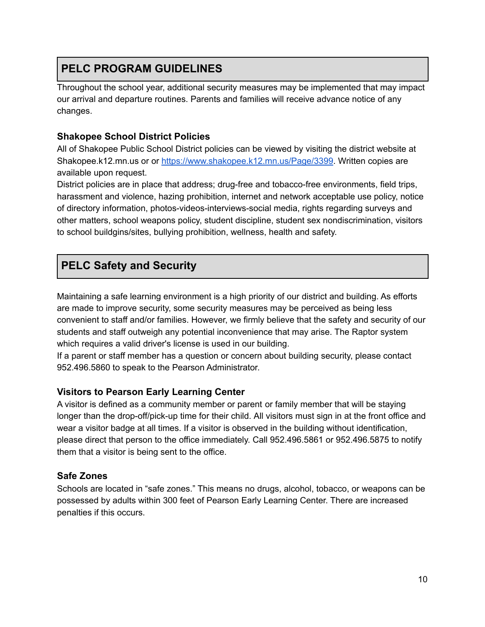Throughout the school year, additional security measures may be implemented that may impact our arrival and departure routines. Parents and families will receive advance notice of any changes.

# **Shakopee School District Policies**

All of Shakopee Public School District policies can be viewed by visiting the district website at Shakopee.k12.mn.us or or [https://www.shakopee.k12.mn.us/Page/3399.](https://www.shakopee.k12.mn.us/Page/3399) Written copies are available upon request.

District policies are in place that address; drug-free and tobacco-free environments, field trips, harassment and violence, hazing prohibition, internet and network acceptable use policy, notice of directory information, photos-videos-interviews-social media, rights regarding surveys and other matters, school weapons policy, student discipline, student sex nondiscrimination, visitors to school buildgins/sites, bullying prohibition, wellness, health and safety.

# **PELC Safety and Security**

Maintaining a safe learning environment is a high priority of our district and building. As efforts are made to improve security, some security measures may be perceived as being less convenient to staff and/or families. However, we firmly believe that the safety and security of our students and staff outweigh any potential inconvenience that may arise. The Raptor system which requires a valid driver's license is used in our building.

If a parent or staff member has a question or concern about building security, please contact 952.496.5860 to speak to the Pearson Administrator.

# **Visitors to Pearson Early Learning Center**

A visitor is defined as a community member or parent or family member that will be staying longer than the drop-off/pick-up time for their child. All visitors must sign in at the front office and wear a visitor badge at all times. If a visitor is observed in the building without identification, please direct that person to the office immediately. Call 952.496.5861 or 952.496.5875 to notify them that a visitor is being sent to the office.

# **Safe Zones**

Schools are located in "safe zones." This means no drugs, alcohol, tobacco, or weapons can be possessed by adults within 300 feet of Pearson Early Learning Center. There are increased penalties if this occurs.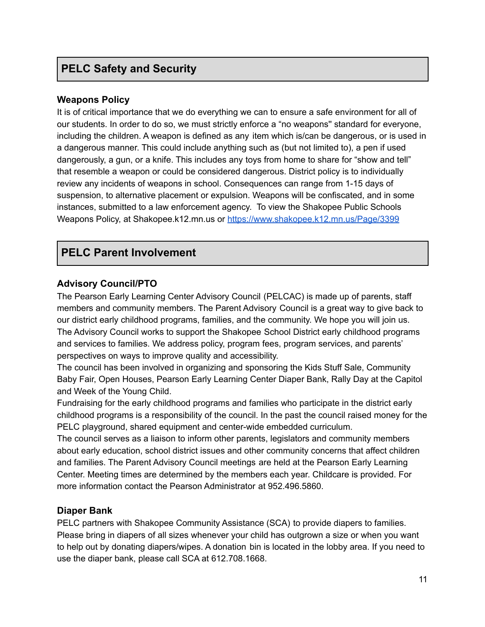# **PELC Safety and Security**

### **Weapons Policy**

It is of critical importance that we do everything we can to ensure a safe environment for all of our students. In order to do so, we must strictly enforce a "no weapons'' standard for everyone, including the children. A weapon is defined as any item which is/can be dangerous, or is used in a dangerous manner. This could include anything such as (but not limited to), a pen if used dangerously, a gun, or a knife. This includes any toys from home to share for "show and tell" that resemble a weapon or could be considered dangerous. District policy is to individually review any incidents of weapons in school. Consequences can range from 1-15 days of suspension, to alternative placement or expulsion. Weapons will be confiscated, and in some instances, submitted to a law enforcement agency. To view the Shakopee Public Schools Weapons Policy, at Shakopee.k12.mn.us or <https://www.shakopee.k12.mn.us/Page/3399>

# **PELC Parent Involvement**

### **Advisory Council/PTO**

The Pearson Early Learning Center Advisory Council (PELCAC) is made up of parents, staff members and community members. The Parent Advisory Council is a great way to give back to our district early childhood programs, families, and the community. We hope you will join us. The Advisory Council works to support the Shakopee School District early childhood programs and services to families. We address policy, program fees, program services, and parents' perspectives on ways to improve quality and accessibility.

The council has been involved in organizing and sponsoring the Kids Stuff Sale, Community Baby Fair, Open Houses, Pearson Early Learning Center Diaper Bank, Rally Day at the Capitol and Week of the Young Child.

Fundraising for the early childhood programs and families who participate in the district early childhood programs is a responsibility of the council. In the past the council raised money for the PELC playground, shared equipment and center-wide embedded curriculum.

The council serves as a liaison to inform other parents, legislators and community members about early education, school district issues and other community concerns that affect children and families. The Parent Advisory Council meetings are held at the Pearson Early Learning Center. Meeting times are determined by the members each year. Childcare is provided. For more information contact the Pearson Administrator at 952.496.5860.

### **Diaper Bank**

PELC partners with Shakopee Community Assistance (SCA) to provide diapers to families. Please bring in diapers of all sizes whenever your child has outgrown a size or when you want to help out by donating diapers/wipes. A donation bin is located in the lobby area. If you need to use the diaper bank, please call SCA at 612.708.1668.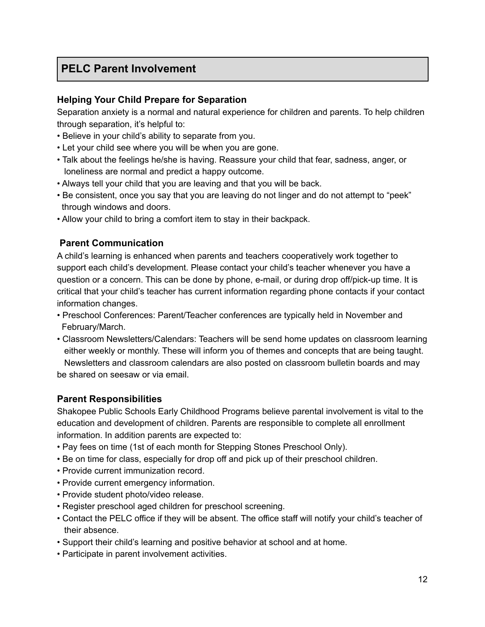# **PELC Parent Involvement**

### **Helping Your Child Prepare for Separation**

Separation anxiety is a normal and natural experience for children and parents. To help children through separation, it's helpful to:

- Believe in your child's ability to separate from you.
- Let your child see where you will be when you are gone.
- Talk about the feelings he/she is having. Reassure your child that fear, sadness, anger, or loneliness are normal and predict a happy outcome.
- Always tell your child that you are leaving and that you will be back.
- Be consistent, once you say that you are leaving do not linger and do not attempt to "peek" through windows and doors.
- Allow your child to bring a comfort item to stay in their backpack.

# **Parent Communication**

A child's learning is enhanced when parents and teachers cooperatively work together to support each child's development. Please contact your child's teacher whenever you have a question or a concern. This can be done by phone, e-mail, or during drop off/pick-up time. It is critical that your child's teacher has current information regarding phone contacts if your contact information changes.

- Preschool Conferences: Parent/Teacher conferences are typically held in November and February/March.
- Classroom Newsletters/Calendars: Teachers will be send home updates on classroom learning either weekly or monthly. These will inform you of themes and concepts that are being taught. Newsletters and classroom calendars are also posted on classroom bulletin boards and may be shared on seesaw or via email.

### **Parent Responsibilities**

Shakopee Public Schools Early Childhood Programs believe parental involvement is vital to the education and development of children. Parents are responsible to complete all enrollment information. In addition parents are expected to:

- Pay fees on time (1st of each month for Stepping Stones Preschool Only).
- Be on time for class, especially for drop off and pick up of their preschool children.
- Provide current immunization record.
- Provide current emergency information.
- Provide student photo/video release.
- Register preschool aged children for preschool screening.
- Contact the PELC office if they will be absent. The office staff will notify your child's teacher of their absence.
- Support their child's learning and positive behavior at school and at home.
- Participate in parent involvement activities.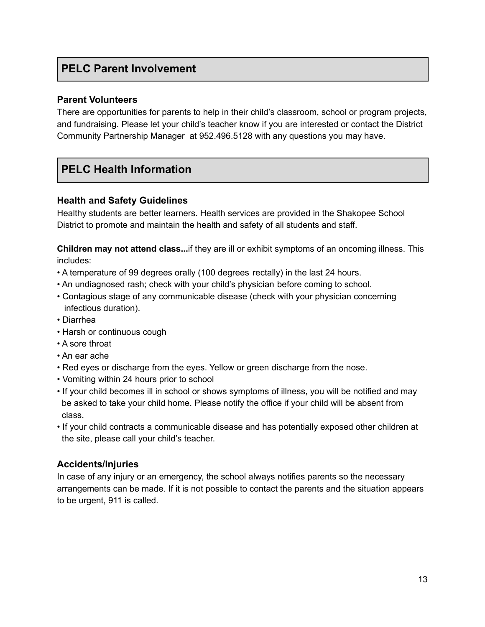# **PELC Parent Involvement**

### **Parent Volunteers**

There are opportunities for parents to help in their child's classroom, school or program projects, and fundraising. Please let your child's teacher know if you are interested or contact the District Community Partnership Manager at 952.496.5128 with any questions you may have.

# **PELC Health Information**

### **Health and Safety Guidelines**

Healthy students are better learners. Health services are provided in the Shakopee School District to promote and maintain the health and safety of all students and staff.

**Children may not attend class...**if they are ill or exhibit symptoms of an oncoming illness. This includes:

- A temperature of 99 degrees orally (100 degrees rectally) in the last 24 hours.
- An undiagnosed rash; check with your child's physician before coming to school.
- Contagious stage of any communicable disease (check with your physician concerning infectious duration).
- Diarrhea
- Harsh or continuous cough
- A sore throat
- An ear ache
- Red eyes or discharge from the eyes. Yellow or green discharge from the nose.
- Vomiting within 24 hours prior to school
- If your child becomes ill in school or shows symptoms of illness, you will be notified and may be asked to take your child home. Please notify the office if your child will be absent from class.
- If your child contracts a communicable disease and has potentially exposed other children at the site, please call your child's teacher.

# **Accidents/Injuries**

In case of any injury or an emergency, the school always notifies parents so the necessary arrangements can be made. If it is not possible to contact the parents and the situation appears to be urgent, 911 is called.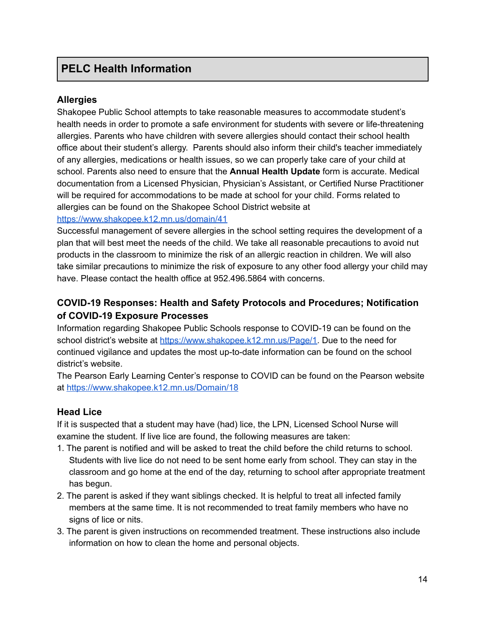# **PELC Health Information**

### **Allergies**

Shakopee Public School attempts to take reasonable measures to accommodate student's health needs in order to promote a safe environment for students with severe or life-threatening allergies. Parents who have children with severe allergies should contact their school health office about their student's allergy. Parents should also inform their child's teacher immediately of any allergies, medications or health issues, so we can properly take care of your child at school. Parents also need to ensure that the **Annual Health Update** form is accurate. Medical documentation from a Licensed Physician, Physician's Assistant, or Certified Nurse Practitioner will be required for accommodations to be made at school for your child. Forms related to allergies can be found on the Shakopee School District website at

### <https://www.shakopee.k12.mn.us/domain/41>

Successful management of severe allergies in the school setting requires the development of a plan that will best meet the needs of the child. We take all reasonable precautions to avoid nut products in the classroom to minimize the risk of an allergic reaction in children. We will also take similar precautions to minimize the risk of exposure to any other food allergy your child may have. Please contact the health office at 952.496.5864 with concerns.

# **COVID-19 Responses: Health and Safety Protocols and Procedures; Notification of COVID-19 Exposure Processes**

Information regarding Shakopee Public Schools response to COVID-19 can be found on the school district's website at [https://www.shakopee.k12.mn.us/Page/1.](https://www.shakopee.k12.mn.us/Page/1) Due to the need for continued vigilance and updates the most up-to-date information can be found on the school district's website.

The Pearson Early Learning Center's response to COVID can be found on the Pearson website at <https://www.shakopee.k12.mn.us/Domain/18>

### **Head Lice**

If it is suspected that a student may have (had) lice, the LPN, Licensed School Nurse will examine the student. If live lice are found, the following measures are taken:

- 1. The parent is notified and will be asked to treat the child before the child returns to school. Students with live lice do not need to be sent home early from school. They can stay in the classroom and go home at the end of the day, returning to school after appropriate treatment has begun.
- 2. The parent is asked if they want siblings checked. It is helpful to treat all infected family members at the same time. It is not recommended to treat family members who have no signs of lice or nits.
- 3. The parent is given instructions on recommended treatment. These instructions also include information on how to clean the home and personal objects.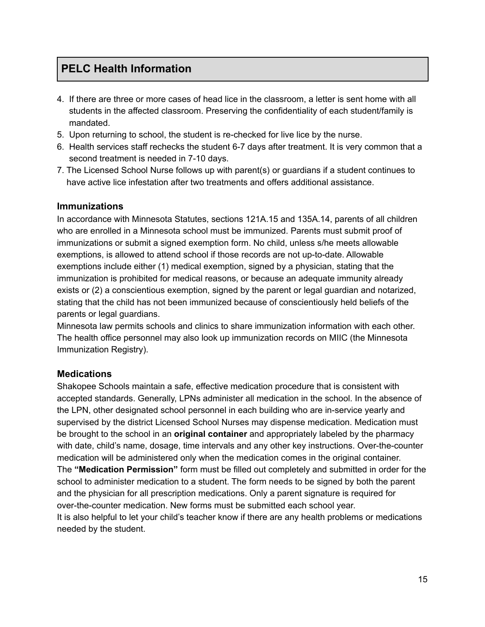# **PELC Health Information**

- 4. If there are three or more cases of head lice in the classroom, a letter is sent home with all students in the affected classroom. Preserving the confidentiality of each student/family is mandated.
- 5. Upon returning to school, the student is re-checked for live lice by the nurse.
- 6. Health services staff rechecks the student 6-7 days after treatment. It is very common that a second treatment is needed in 7-10 days.
- 7. The Licensed School Nurse follows up with parent(s) or guardians if a student continues to have active lice infestation after two treatments and offers additional assistance.

### **Immunizations**

In accordance with Minnesota Statutes, sections 121A.15 and 135A.14, parents of all children who are enrolled in a Minnesota school must be immunized. Parents must submit proof of immunizations or submit a signed exemption form. No child, unless s/he meets allowable exemptions, is allowed to attend school if those records are not up-to-date. Allowable exemptions include either (1) medical exemption, signed by a physician, stating that the immunization is prohibited for medical reasons, or because an adequate immunity already exists or (2) a conscientious exemption, signed by the parent or legal guardian and notarized, stating that the child has not been immunized because of conscientiously held beliefs of the parents or legal guardians.

Minnesota law permits schools and clinics to share immunization information with each other. The health office personnel may also look up immunization records on MIIC (the Minnesota Immunization Registry).

# **Medications**

Shakopee Schools maintain a safe, effective medication procedure that is consistent with accepted standards. Generally, LPNs administer all medication in the school. In the absence of the LPN, other designated school personnel in each building who are in-service yearly and supervised by the district Licensed School Nurses may dispense medication. Medication must be brought to the school in an **original container** and appropriately labeled by the pharmacy with date, child's name, dosage, time intervals and any other key instructions. Over-the-counter medication will be administered only when the medication comes in the original container. The **"Medication Permission"** form must be filled out completely and submitted in order for the school to administer medication to a student. The form needs to be signed by both the parent and the physician for all prescription medications. Only a parent signature is required for over-the-counter medication. New forms must be submitted each school year. It is also helpful to let your child's teacher know if there are any health problems or medications needed by the student.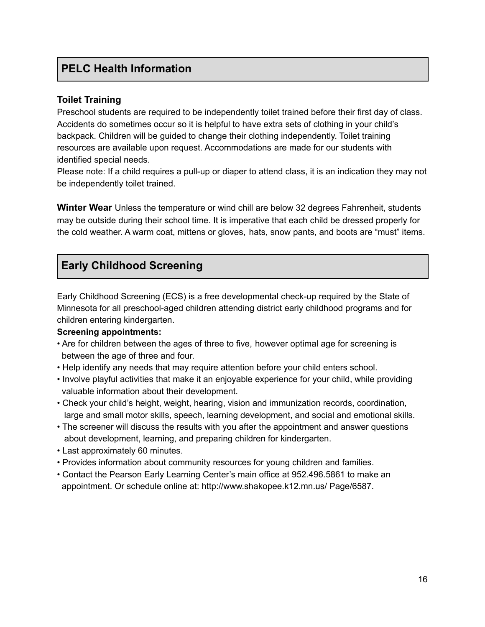# **PELC Health Information**

### **Toilet Training**

Preschool students are required to be independently toilet trained before their first day of class. Accidents do sometimes occur so it is helpful to have extra sets of clothing in your child's backpack. Children will be guided to change their clothing independently. Toilet training resources are available upon request. Accommodations are made for our students with identified special needs.

Please note: If a child requires a pull-up or diaper to attend class, it is an indication they may not be independently toilet trained.

**Winter Wear** Unless the temperature or wind chill are below 32 degrees Fahrenheit, students may be outside during their school time. It is imperative that each child be dressed properly for the cold weather. A warm coat, mittens or gloves, hats, snow pants, and boots are "must" items.

# **Early Childhood Screening**

Early Childhood Screening (ECS) is a free developmental check-up required by the State of Minnesota for all preschool-aged children attending district early childhood programs and for children entering kindergarten.

### **Screening appointments:**

- Are for children between the ages of three to five, however optimal age for screening is between the age of three and four.
- Help identify any needs that may require attention before your child enters school.
- Involve playful activities that make it an enjoyable experience for your child, while providing valuable information about their development.
- Check your child's height, weight, hearing, vision and immunization records, coordination, large and small motor skills, speech, learning development, and social and emotional skills.
- The screener will discuss the results with you after the appointment and answer questions about development, learning, and preparing children for kindergarten.
- Last approximately 60 minutes.
- Provides information about community resources for young children and families.
- Contact the Pearson Early Learning Center's main office at 952.496.5861 to make an appointment. Or schedule online at: http://www.shakopee.k12.mn.us/ Page/6587.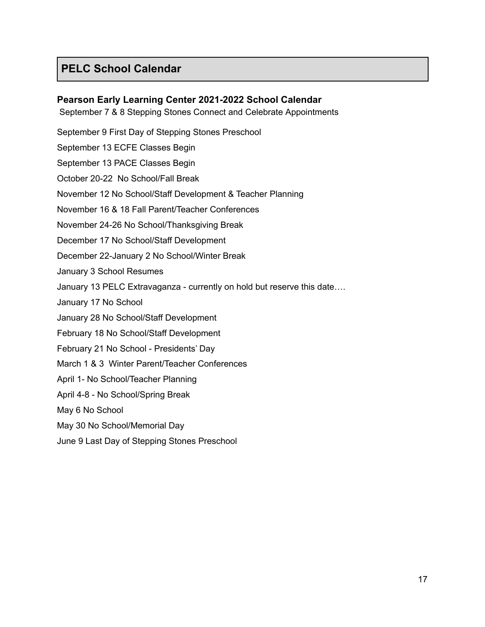# **PELC School Calendar**

### **Pearson Early Learning Center 2021-2022 School Calendar**

September 7 & 8 Stepping Stones Connect and Celebrate Appointments

September 9 First Day of Stepping Stones Preschool September 13 ECFE Classes Begin

September 13 PACE Classes Begin

October 20-22 No School/Fall Break

November 12 No School/Staff Development & Teacher Planning

November 16 & 18 Fall Parent/Teacher Conferences

November 24-26 No School/Thanksgiving Break

December 17 No School/Staff Development

December 22-January 2 No School/Winter Break

January 3 School Resumes

January 13 PELC Extravaganza - currently on hold but reserve this date….

January 17 No School

January 28 No School/Staff Development

February 18 No School/Staff Development

February 21 No School - Presidents' Day

March 1 & 3 Winter Parent/Teacher Conferences

April 1- No School/Teacher Planning

April 4-8 - No School/Spring Break

May 6 No School

May 30 No School/Memorial Day

June 9 Last Day of Stepping Stones Preschool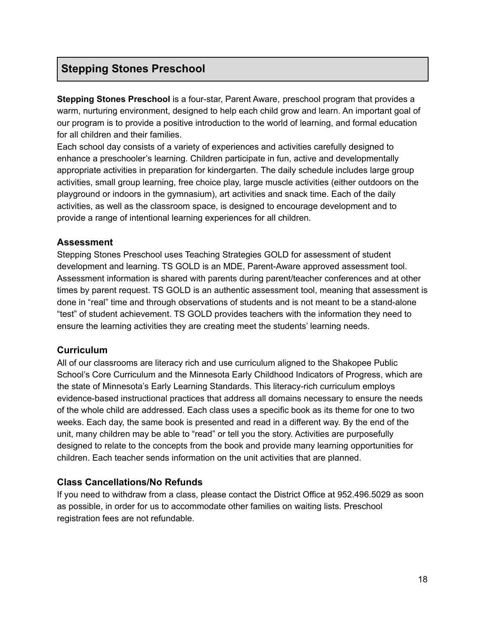**Stepping Stones Preschool** is a four-star, Parent Aware, preschool program that provides a warm, nurturing environment, designed to help each child grow and learn. An important goal of our program is to provide a positive introduction to the world of learning, and formal education for all children and their families.

Each school day consists of a variety of experiences and activities carefully designed to enhance a preschooler's learning. Children participate in fun, active and developmentally appropriate activities in preparation for kindergarten. The daily schedule includes large group activities, small group learning, free choice play, large muscle activities (either outdoors on the playground or indoors in the gymnasium), art activities and snack time. Each of the daily activities, as well as the classroom space, is designed to encourage development and to provide a range of intentional learning experiences for all children.

### **Assessment**

Stepping Stones Preschool uses Teaching Strategies GOLD for assessment of student development and learning. TS GOLD is an MDE, Parent-Aware approved assessment tool. Assessment information is shared with parents during parent/teacher conferences and at other times by parent request. TS GOLD is an authentic assessment tool, meaning that assessment is done in "real" time and through observations of students and is not meant to be a stand-alone "test" of student achievement. TS GOLD provides teachers with the information they need to ensure the learning activities they are creating meet the students' learning needs.

### **Curriculum**

All of our classrooms are literacy rich and use curriculum aligned to the Shakopee Public School's Core Curriculum and the Minnesota Early Childhood Indicators of Progress, which are the state of Minnesota's Early Learning Standards. This literacy-rich curriculum employs evidence-based instructional practices that address all domains necessary to ensure the needs of the whole child are addressed. Each class uses a specific book as its theme for one to two weeks. Each day, the same book is presented and read in a different way. By the end of the unit, many children may be able to "read" or tell you the story. Activities are purposefully designed to relate to the concepts from the book and provide many learning opportunities for children. Each teacher sends information on the unit activities that are planned.

# **Class Cancellations/No Refunds**

If you need to withdraw from a class, please contact the District Office at 952.496.5029 as soon as possible, in order for us to accommodate other families on waiting lists. Preschool registration fees are not refundable.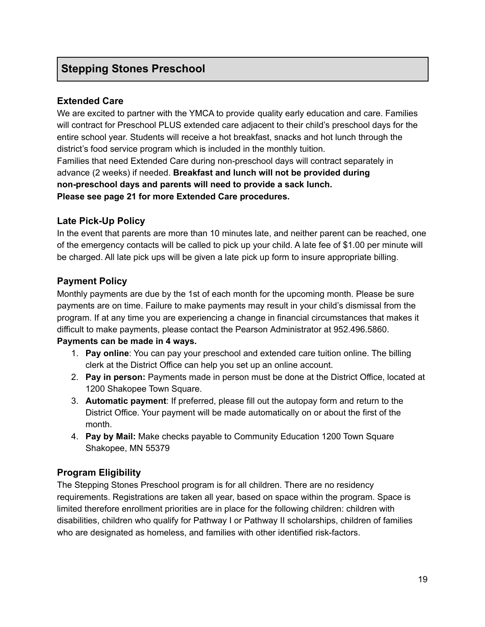# **Extended Care**

We are excited to partner with the YMCA to provide quality early education and care. Families will contract for Preschool PLUS extended care adjacent to their child's preschool days for the entire school year. Students will receive a hot breakfast, snacks and hot lunch through the district's food service program which is included in the monthly tuition.

Families that need Extended Care during non-preschool days will contract separately in advance (2 weeks) if needed. **Breakfast and lunch will not be provided during non-preschool days and parents will need to provide a sack lunch. Please see page 21 for more Extended Care procedures.**

### **Late Pick-Up Policy**

In the event that parents are more than 10 minutes late, and neither parent can be reached, one of the emergency contacts will be called to pick up your child. A late fee of \$1.00 per minute will be charged. All late pick ups will be given a late pick up form to insure appropriate billing.

### **Payment Policy**

Monthly payments are due by the 1st of each month for the upcoming month. Please be sure payments are on time. Failure to make payments may result in your child's dismissal from the program. If at any time you are experiencing a change in financial circumstances that makes it difficult to make payments, please contact the Pearson Administrator at 952.496.5860.

### **Payments can be made in 4 ways.**

- 1. **Pay online**: You can pay your preschool and extended care tuition online. The billing clerk at the District Office can help you set up an online account.
- 2. **Pay in person:** Payments made in person must be done at the District Office, located at 1200 Shakopee Town Square.
- 3. **Automatic payment**: If preferred, please fill out the autopay form and return to the District Office. Your payment will be made automatically on or about the first of the month.
- 4. **Pay by Mail:** Make checks payable to Community Education 1200 Town Square Shakopee, MN 55379

# **Program Eligibility**

The Stepping Stones Preschool program is for all children. There are no residency requirements. Registrations are taken all year, based on space within the program. Space is limited therefore enrollment priorities are in place for the following children: children with disabilities, children who qualify for Pathway I or Pathway II scholarships, children of families who are designated as homeless, and families with other identified risk-factors.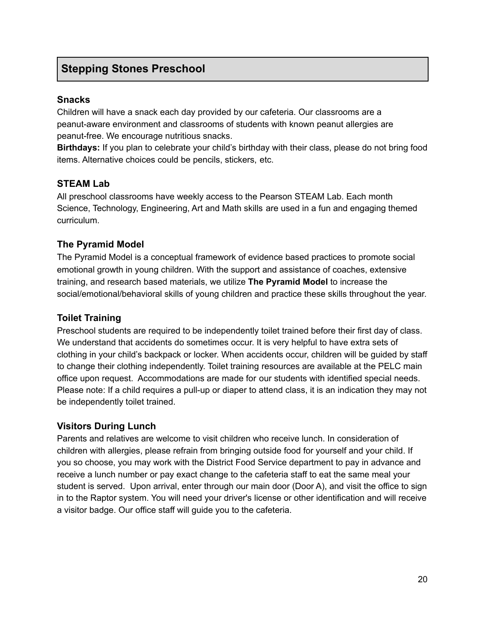### **Snacks**

Children will have a snack each day provided by our cafeteria. Our classrooms are a peanut-aware environment and classrooms of students with known peanut allergies are peanut-free. We encourage nutritious snacks.

**Birthdays:** If you plan to celebrate your child's birthday with their class, please do not bring food items. Alternative choices could be pencils, stickers, etc.

### **STEAM Lab**

All preschool classrooms have weekly access to the Pearson STEAM Lab. Each month Science, Technology, Engineering, Art and Math skills are used in a fun and engaging themed curriculum.

### **The Pyramid Model**

The Pyramid Model is a conceptual framework of evidence based practices to promote social emotional growth in young children. With the support and assistance of coaches, extensive training, and research based materials, we utilize **The Pyramid Model** to increase the social/emotional/behavioral skills of young children and practice these skills throughout the year.

### **Toilet Training**

Preschool students are required to be independently toilet trained before their first day of class. We understand that accidents do sometimes occur. It is very helpful to have extra sets of clothing in your child's backpack or locker. When accidents occur, children will be guided by staff to change their clothing independently. Toilet training resources are available at the PELC main office upon request. Accommodations are made for our students with identified special needs. Please note: If a child requires a pull-up or diaper to attend class, it is an indication they may not be independently toilet trained.

# **Visitors During Lunch**

Parents and relatives are welcome to visit children who receive lunch. In consideration of children with allergies, please refrain from bringing outside food for yourself and your child. If you so choose, you may work with the District Food Service department to pay in advance and receive a lunch number or pay exact change to the cafeteria staff to eat the same meal your student is served. Upon arrival, enter through our main door (Door A), and visit the office to sign in to the Raptor system. You will need your driver's license or other identification and will receive a visitor badge. Our office staff will guide you to the cafeteria.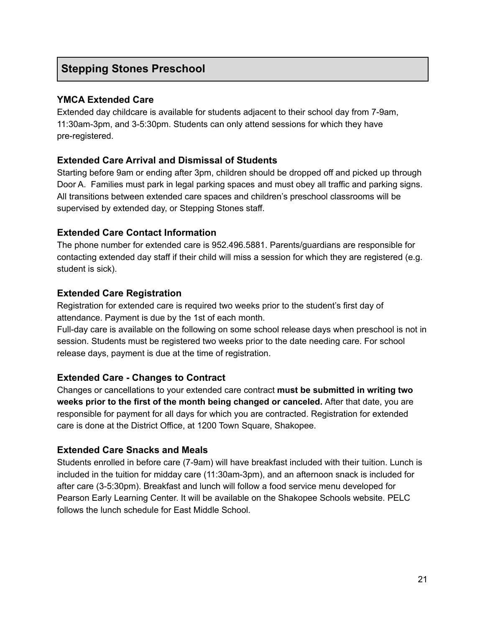### **YMCA Extended Care**

Extended day childcare is available for students adjacent to their school day from 7-9am, 11:30am-3pm, and 3-5:30pm. Students can only attend sessions for which they have pre-registered.

### **Extended Care Arrival and Dismissal of Students**

Starting before 9am or ending after 3pm, children should be dropped off and picked up through Door A. Families must park in legal parking spaces and must obey all traffic and parking signs. All transitions between extended care spaces and children's preschool classrooms will be supervised by extended day, or Stepping Stones staff.

### **Extended Care Contact Information**

The phone number for extended care is 952.496.5881. Parents/guardians are responsible for contacting extended day staff if their child will miss a session for which they are registered (e.g. student is sick).

### **Extended Care Registration**

Registration for extended care is required two weeks prior to the student's first day of attendance. Payment is due by the 1st of each month.

Full-day care is available on the following on some school release days when preschool is not in session. Students must be registered two weeks prior to the date needing care. For school release days, payment is due at the time of registration.

### **Extended Care - Changes to Contract**

Changes or cancellations to your extended care contract **must be submitted in writing two weeks prior to the first of the month being changed or canceled.** After that date, you are responsible for payment for all days for which you are contracted. Registration for extended care is done at the District Office, at 1200 Town Square, Shakopee.

# **Extended Care Snacks and Meals**

Students enrolled in before care (7-9am) will have breakfast included with their tuition. Lunch is included in the tuition for midday care (11:30am-3pm), and an afternoon snack is included for after care (3-5:30pm). Breakfast and lunch will follow a food service menu developed for Pearson Early Learning Center. It will be available on the Shakopee Schools website. PELC follows the lunch schedule for East Middle School.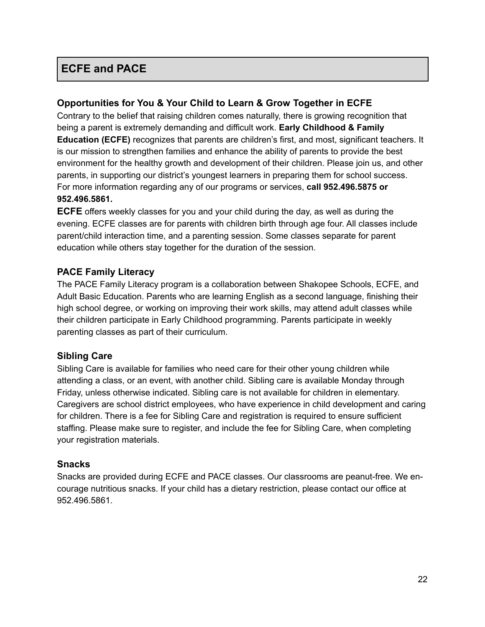# **ECFE and PACE**

### **Opportunities for You & Your Child to Learn & Grow Together in ECFE**

Contrary to the belief that raising children comes naturally, there is growing recognition that being a parent is extremely demanding and difficult work. **Early Childhood & Family Education (ECFE)** recognizes that parents are children's first, and most, significant teachers. It is our mission to strengthen families and enhance the ability of parents to provide the best environment for the healthy growth and development of their children. Please join us, and other parents, in supporting our district's youngest learners in preparing them for school success. For more information regarding any of our programs or services, **call 952.496.5875 or 952.496.5861.**

**ECFE** offers weekly classes for you and your child during the day, as well as during the evening. ECFE classes are for parents with children birth through age four. All classes include parent/child interaction time, and a parenting session. Some classes separate for parent education while others stay together for the duration of the session.

### **PACE Family Literacy**

The PACE Family Literacy program is a collaboration between Shakopee Schools, ECFE, and Adult Basic Education. Parents who are learning English as a second language, finishing their high school degree, or working on improving their work skills, may attend adult classes while their children participate in Early Childhood programming. Parents participate in weekly parenting classes as part of their curriculum.

#### **Sibling Care**

Sibling Care is available for families who need care for their other young children while attending a class, or an event, with another child. Sibling care is available Monday through Friday, unless otherwise indicated. Sibling care is not available for children in elementary. Caregivers are school district employees, who have experience in child development and caring for children. There is a fee for Sibling Care and registration is required to ensure sufficient staffing. Please make sure to register, and include the fee for Sibling Care, when completing your registration materials.

#### **Snacks**

Snacks are provided during ECFE and PACE classes. Our classrooms are peanut-free. We encourage nutritious snacks. If your child has a dietary restriction, please contact our office at 952.496.5861.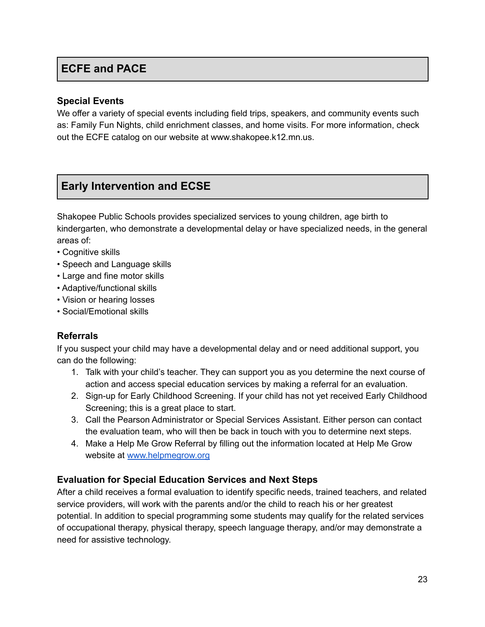# **ECFE and PACE**

### **Special Events**

We offer a variety of special events including field trips, speakers, and community events such as: Family Fun Nights, child enrichment classes, and home visits. For more information, check out the ECFE catalog on our website at www.shakopee.k12.mn.us.

# **Early Intervention and ECSE**

Shakopee Public Schools provides specialized services to young children, age birth to kindergarten, who demonstrate a developmental delay or have specialized needs, in the general areas of:

- Cognitive skills
- Speech and Language skills
- Large and fine motor skills
- Adaptive/functional skills
- Vision or hearing losses
- Social/Emotional skills

# **Referrals**

If you suspect your child may have a developmental delay and or need additional support, you can do the following:

- 1. Talk with your child's teacher. They can support you as you determine the next course of action and access special education services by making a referral for an evaluation.
- 2. Sign-up for Early Childhood Screening. If your child has not yet received Early Childhood Screening; this is a great place to start.
- 3. Call the Pearson Administrator or Special Services Assistant. Either person can contact the evaluation team, who will then be back in touch with you to determine next steps.
- 4. Make a Help Me Grow Referral by filling out the information located at Help Me Grow website at [www.helpmegrow.org](http://www.helpmegrow.org)

# **Evaluation for Special Education Services and Next Steps**

After a child receives a formal evaluation to identify specific needs, trained teachers, and related service providers, will work with the parents and/or the child to reach his or her greatest potential. In addition to special programming some students may qualify for the related services of occupational therapy, physical therapy, speech language therapy, and/or may demonstrate a need for assistive technology.